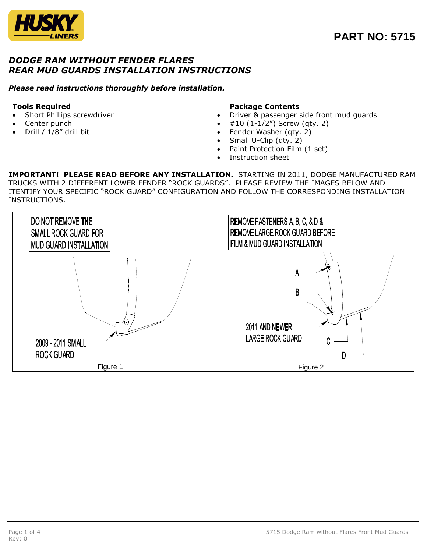

## *DODGE RAM WITHOUT FENDER FLARES REAR MUD GUARDS INSTALLATION INSTRUCTIONS*

### *Please read instructions thoroughly before installation.*

### **Tools Required**

- Short Phillips screwdriver
- Center punch
- Drill / 1/8" drill bit

### **Package Contents**

- Driver & passenger side front mud guards
- #10 (1-1/2") Screw (qty. 2)
- Fender Washer (qty. 2)
- Small U-Clip (qty. 2)
- Paint Protection Film (1 set)
- Instruction sheet

**IMPORTANT! PLEASE READ BEFORE ANY INSTALLATION.** STARTING IN 2011, DODGE MANUFACTURED RAM TRUCKS WITH 2 DIFFERENT LOWER FENDER "ROCK GUARDS". PLEASE REVIEW THE IMAGES BELOW AND ITENTIFY YOUR SPECIFIC "ROCK GUARD" CONFIGURATION AND FOLLOW THE CORRESPONDING INSTALLATION INSTRUCTIONS.

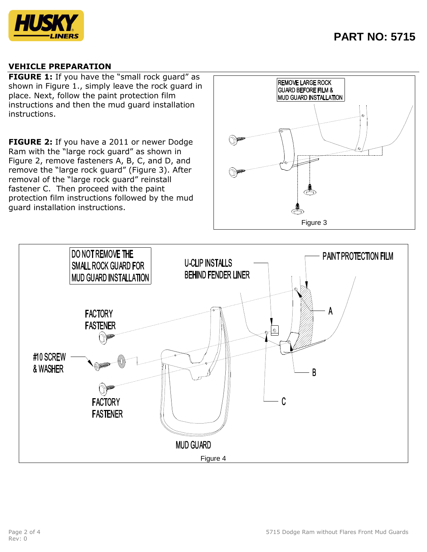

### **VEHICLE PREPARATION**

**FIGURE 1:** If you have the "small rock guard" as shown in Figure 1., simply leave the rock guard in place. Next, follow the paint protection film instructions and then the mud guard installation instructions.

**FIGURE 2:** If you have a 2011 or newer Dodge Ram with the "large rock guard" as shown in Figure 2, remove fasteners A, B, C, and D, and remove the "large rock guard" (Figure 3). After removal of the "large rock guard" reinstall fastener C. Then proceed with the paint protection film instructions followed by the mud guard installation instructions.



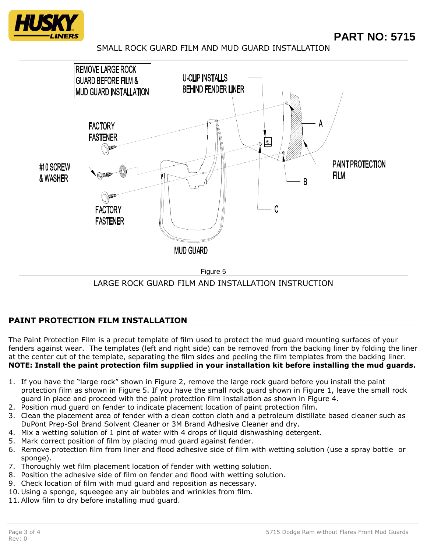

# **PART NO: 5715**

SMALL ROCK GUARD FILM AND MUD GUARD INSTALLATION



LARGE ROCK GUARD FILM AND INSTALLATION INSTRUCTION

# **PAINT PROTECTION FILM INSTALLATION**

The Paint Protection Film is a precut template of film used to protect the mud guard mounting surfaces of your fenders against wear. The templates (left and right side) can be removed from the backing liner by folding the liner at the center cut of the template, separating the film sides and peeling the film templates from the backing liner. **NOTE: Install the paint protection film supplied in your installation kit before installing the mud guards.**

- 1. If you have the "large rock" shown in Figure 2, remove the large rock guard before you install the paint protection film as shown in Figure 5. If you have the small rock guard shown in Figure 1, leave the small rock guard in place and proceed with the paint protection film installation as shown in Figure 4.
- 2. Position mud guard on fender to indicate placement location of paint protection film.
- 3. Clean the placement area of fender with a clean cotton cloth and a petroleum distillate based cleaner such as DuPont Prep-Sol Brand Solvent Cleaner or 3M Brand Adhesive Cleaner and dry.
- 4. Mix a wetting solution of 1 pint of water with 4 drops of liquid dishwashing detergent.
- 5. Mark correct position of film by placing mud guard against fender.
- 6. Remove protection film from liner and flood adhesive side of film with wetting solution (use a spray bottle or sponge).
- 7. Thoroughly wet film placement location of fender with wetting solution.
- 8. Position the adhesive side of film on fender and flood with wetting solution.
- 9. Check location of film with mud guard and reposition as necessary.
- 10. Using a sponge, squeegee any air bubbles and wrinkles from film.
- 11.Allow film to dry before installing mud guard.